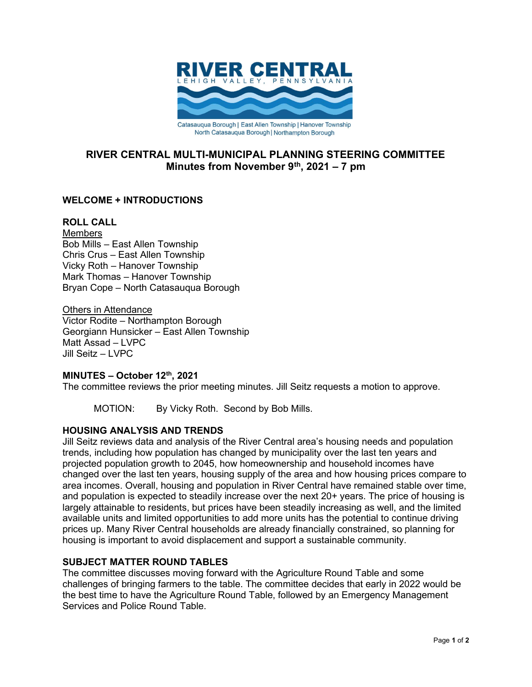

# RIVER CENTRAL MULTI-MUNICIPAL PLANNING STEERING COMMITTEE Minutes from November  $9<sup>th</sup>$ , 2021 – 7 pm

## WELCOME + INTRODUCTIONS

### ROLL CALL

**Members** Bob Mills – East Allen Township Chris Crus – East Allen Township Vicky Roth – Hanover Township Mark Thomas – Hanover Township Bryan Cope – North Catasauqua Borough

**Others in Attendance** Victor Rodite – Northampton Borough Georgiann Hunsicker – East Allen Township Matt Assad – LVPC Jill Seitz – LVPC

#### MINUTES – October 12th, 2021

The committee reviews the prior meeting minutes. Jill Seitz requests a motion to approve.

MOTION: By Vicky Roth. Second by Bob Mills.

## HOUSING ANALYSIS AND TRENDS

Jill Seitz reviews data and analysis of the River Central area's housing needs and population trends, including how population has changed by municipality over the last ten years and projected population growth to 2045, how homeownership and household incomes have changed over the last ten years, housing supply of the area and how housing prices compare to area incomes. Overall, housing and population in River Central have remained stable over time, and population is expected to steadily increase over the next 20+ years. The price of housing is largely attainable to residents, but prices have been steadily increasing as well, and the limited available units and limited opportunities to add more units has the potential to continue driving prices up. Many River Central households are already financially constrained, so planning for housing is important to avoid displacement and support a sustainable community.

#### SUBJECT MATTER ROUND TABLES

The committee discusses moving forward with the Agriculture Round Table and some challenges of bringing farmers to the table. The committee decides that early in 2022 would be the best time to have the Agriculture Round Table, followed by an Emergency Management Services and Police Round Table.